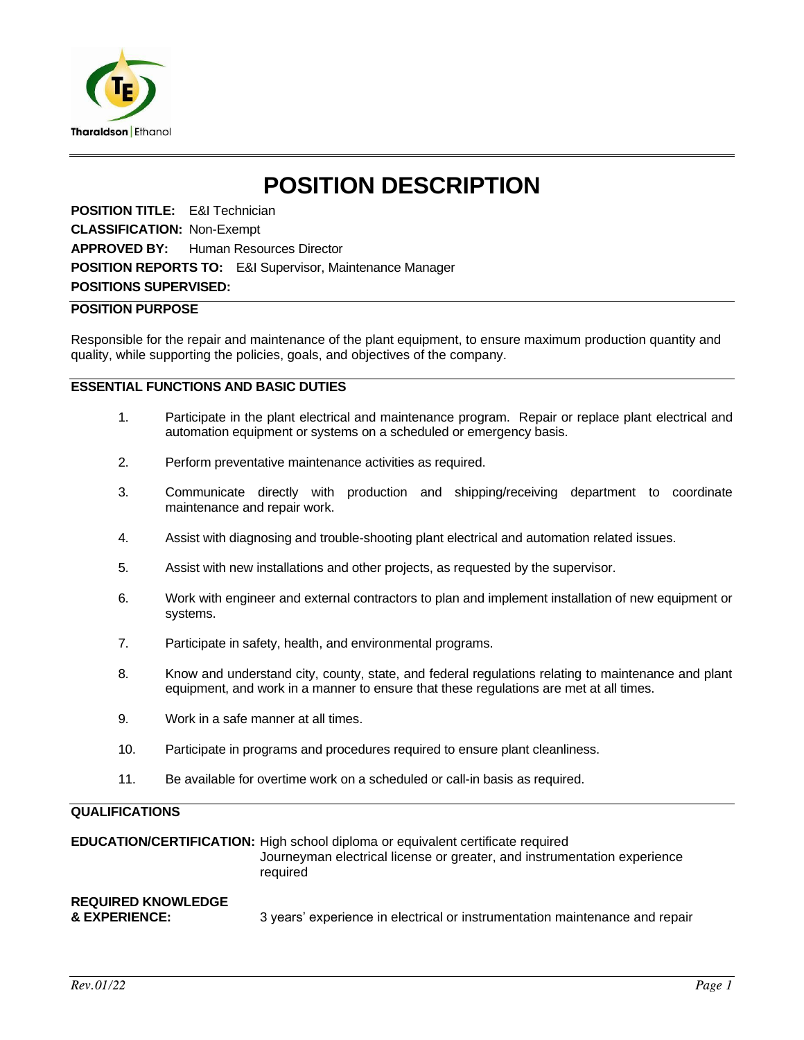

# **POSITION DESCRIPTION**

**POSITION TITLE:** E&I Technician **CLASSIFICATION:** Non-Exempt **APPROVED BY:** Human Resources Director **POSITION REPORTS TO:** E&I Supervisor, Maintenance Manager **POSITIONS SUPERVISED:**

### **POSITION PURPOSE**

Responsible for the repair and maintenance of the plant equipment, to ensure maximum production quantity and quality, while supporting the policies, goals, and objectives of the company.

# **ESSENTIAL FUNCTIONS AND BASIC DUTIES**

- 1. Participate in the plant electrical and maintenance program. Repair or replace plant electrical and automation equipment or systems on a scheduled or emergency basis.
- 2. Perform preventative maintenance activities as required.
- 3. Communicate directly with production and shipping/receiving department to coordinate maintenance and repair work.
- 4. Assist with diagnosing and trouble-shooting plant electrical and automation related issues.
- 5. Assist with new installations and other projects, as requested by the supervisor.
- 6. Work with engineer and external contractors to plan and implement installation of new equipment or systems.
- 7. Participate in safety, health, and environmental programs.
- 8. Know and understand city, county, state, and federal regulations relating to maintenance and plant equipment, and work in a manner to ensure that these regulations are met at all times.
- 9. Work in a safe manner at all times.
- 10. Participate in programs and procedures required to ensure plant cleanliness.
- 11. Be available for overtime work on a scheduled or call-in basis as required.

# **QUALIFICATIONS**

**EDUCATION/CERTIFICATION:** High school diploma or equivalent certificate required Journeyman electrical license or greater, and instrumentation experience required **REQUIRED KNOWLEDGE** 3 years' experience in electrical or instrumentation maintenance and repair